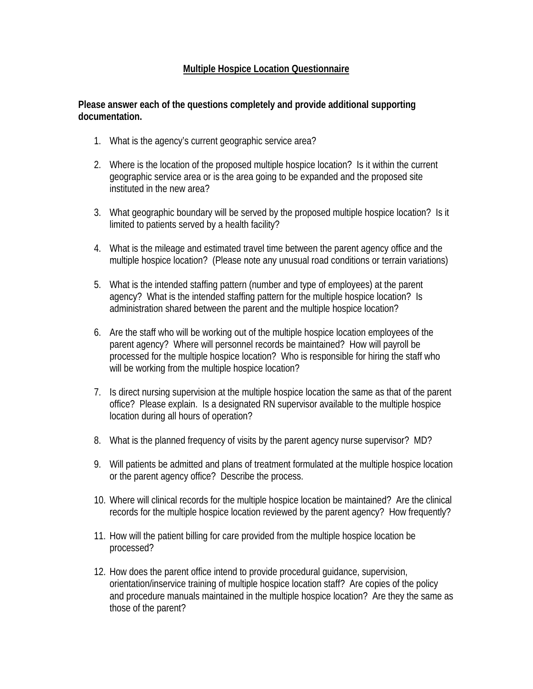## **Multiple Hospice Location Questionnaire**

## **Please answer each of the questions completely and provide additional supporting documentation.**

- 1. What is the agency's current geographic service area?
- 2. Where is the location of the proposed multiple hospice location? Is it within the current geographic service area or is the area going to be expanded and the proposed site instituted in the new area?
- 3. What geographic boundary will be served by the proposed multiple hospice location? Is it limited to patients served by a health facility?
- 4. What is the mileage and estimated travel time between the parent agency office and the multiple hospice location? (Please note any unusual road conditions or terrain variations)
- 5. What is the intended staffing pattern (number and type of employees) at the parent agency? What is the intended staffing pattern for the multiple hospice location? Is administration shared between the parent and the multiple hospice location?
- 6. Are the staff who will be working out of the multiple hospice location employees of the parent agency? Where will personnel records be maintained? How will payroll be processed for the multiple hospice location? Who is responsible for hiring the staff who will be working from the multiple hospice location?
- 7. Is direct nursing supervision at the multiple hospice location the same as that of the parent office? Please explain. Is a designated RN supervisor available to the multiple hospice location during all hours of operation?
- 8. What is the planned frequency of visits by the parent agency nurse supervisor? MD?
- 9. Will patients be admitted and plans of treatment formulated at the multiple hospice location or the parent agency office? Describe the process.
- 10. Where will clinical records for the multiple hospice location be maintained? Are the clinical records for the multiple hospice location reviewed by the parent agency? How frequently?
- 11. How will the patient billing for care provided from the multiple hospice location be processed?
- 12. How does the parent office intend to provide procedural guidance, supervision, orientation/inservice training of multiple hospice location staff? Are copies of the policy and procedure manuals maintained in the multiple hospice location? Are they the same as those of the parent?